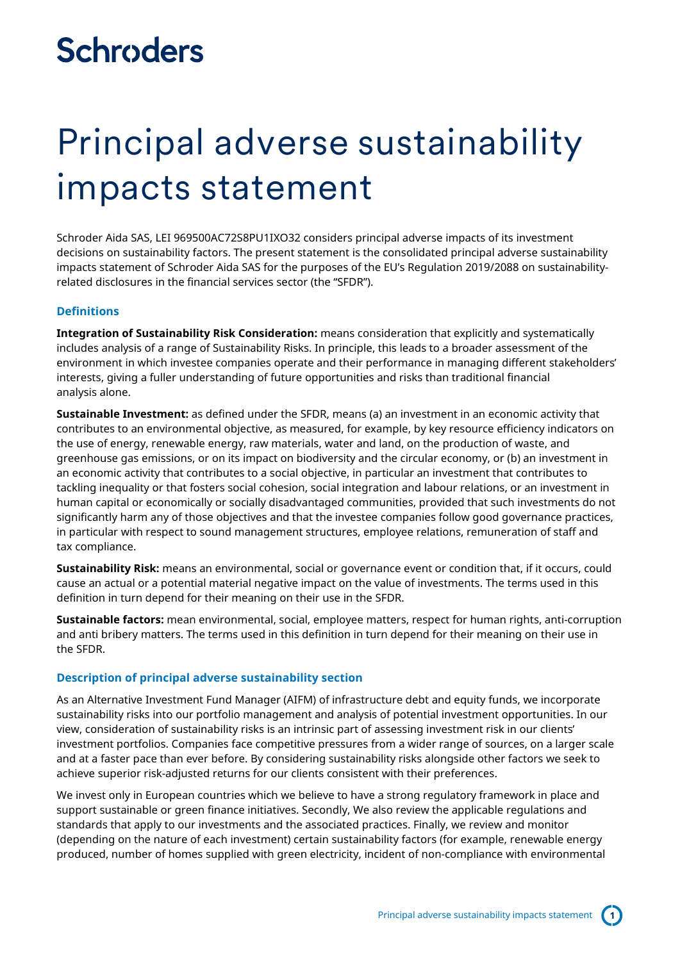# **Schroders**

# Principal adverse sustainability impacts statement

Schroder Aida SAS, LEI 969500AC72S8PU1IXO32 considers principal adverse impacts of its investment decisions on sustainability factors. The present statement is the consolidated principal adverse sustainability impacts statement of Schroder Aida SAS for the purposes of the EU's Regulation 2019/2088 on sustainabilityrelated disclosures in the financial services sector (the "SFDR").

## **Definitions**

**Integration of Sustainability Risk Consideration:** means consideration that explicitly and systematically includes analysis of a range of Sustainability Risks. In principle, this leads to a broader assessment of the environment in which investee companies operate and their performance in managing different stakeholders' interests, giving a fuller understanding of future opportunities and risks than traditional financial analysis alone.

**Sustainable Investment:** as defined under the SFDR, means (a) an investment in an economic activity that contributes to an environmental objective, as measured, for example, by key resource efficiency indicators on the use of energy, renewable energy, raw materials, water and land, on the production of waste, and greenhouse gas emissions, or on its impact on biodiversity and the circular economy, or (b) an investment in an economic activity that contributes to a social objective, in particular an investment that contributes to tackling inequality or that fosters social cohesion, social integration and labour relations, or an investment in human capital or economically or socially disadvantaged communities, provided that such investments do not significantly harm any of those objectives and that the investee companies follow good governance practices, in particular with respect to sound management structures, employee relations, remuneration of staff and tax compliance.

**Sustainability Risk:** means an environmental, social or governance event or condition that, if it occurs, could cause an actual or a potential material negative impact on the value of investments. The terms used in this definition in turn depend for their meaning on their use in the SFDR.

**Sustainable factors:** mean environmental, social, employee matters, respect for human rights, anti-corruption and anti bribery matters. The terms used in this definition in turn depend for their meaning on their use in the SFDR.

### **Description of principal adverse sustainability section**

As an Alternative Investment Fund Manager (AIFM) of infrastructure debt and equity funds, we incorporate sustainability risks into our portfolio management and analysis of potential investment opportunities. In our view, consideration of sustainability risks is an intrinsic part of assessing investment risk in our clients' investment portfolios. Companies face competitive pressures from a wider range of sources, on a larger scale and at a faster pace than ever before. By considering sustainability risks alongside other factors we seek to achieve superior risk-adjusted returns for our clients consistent with their preferences.

We invest only in European countries which we believe to have a strong regulatory framework in place and support sustainable or green finance initiatives. Secondly, We also review the applicable regulations and standards that apply to our investments and the associated practices. Finally, we review and monitor (depending on the nature of each investment) certain sustainability factors (for example, renewable energy produced, number of homes supplied with green electricity, incident of non-compliance with environmental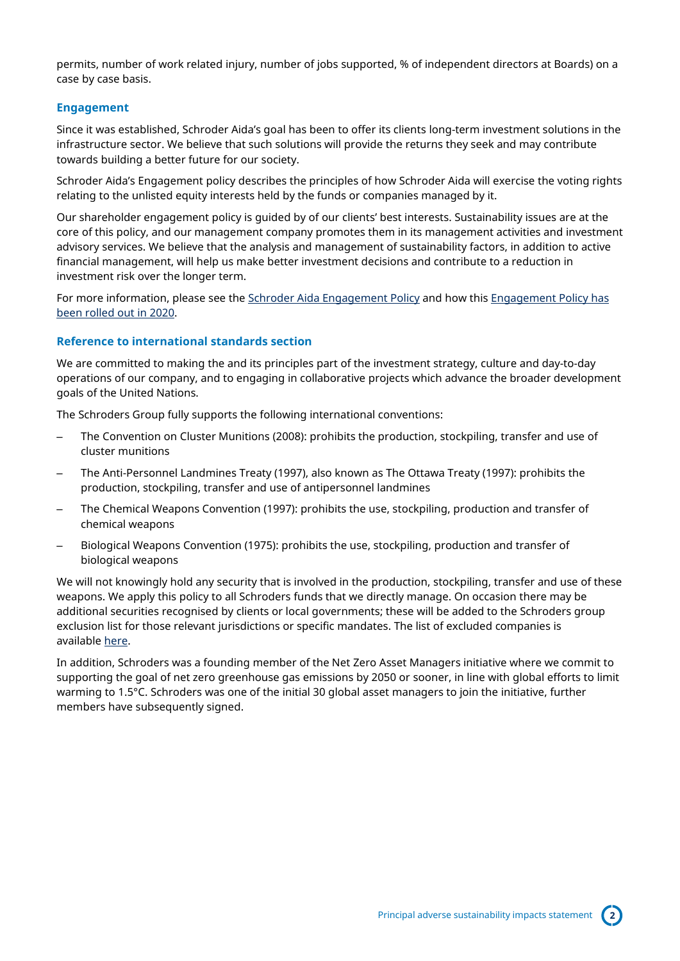permits, number of work related injury, number of jobs supported, % of independent directors at Boards) on a case by case basis.

### **Engagement**

Since it was established, Schroder Aida's goal has been to offer its clients long-term investment solutions in the infrastructure sector. We believe that such solutions will provide the returns they seek and may contribute towards building a better future for our society.

Schroder Aida's Engagement policy describes the principles of how Schroder Aida will exercise the voting rights relating to the unlisted equity interests held by the funds or companies managed by it.

Our shareholder engagement policy is guided by of our clients' best interests. Sustainability issues are at the core of this policy, and our management company promotes them in its management activities and investment advisory services. We believe that the analysis and management of sustainability factors, in addition to active financial management, will help us make better investment decisions and contribute to a reduction in investment risk over the longer term.

For more information, please see the [Schroder Aida Engagement Policy](https://www.schroderscapital.com/en/sysglobalassets/schroder-capital/assets/en_shareholder-engagement-policy-schroder-aida.pdf) and how this Engagement Policy has [been rolled out in 2020.](https://www.schroderscapital.com/en/sysglobalassets/schroder-capital/assets/schroder-aida-shareholder-engagement-policy-update-fy-2020.pdf)

#### **Reference to international standards section**

We are committed to making the and its principles part of the investment strategy, culture and day-to-day operations of our company, and to engaging in collaborative projects which advance the broader development goals of the United Nations.

The Schroders Group fully supports the following international conventions:

- The Convention on Cluster Munitions (2008): prohibits the production, stockpiling, transfer and use of cluster munitions
- The Anti-Personnel Landmines Treaty (1997), also known as The Ottawa Treaty (1997): prohibits the production, stockpiling, transfer and use of antipersonnel landmines
- The Chemical Weapons Convention (1997): prohibits the use, stockpiling, production and transfer of chemical weapons
- Biological Weapons Convention (1975): prohibits the use, stockpiling, production and transfer of biological weapons

We will not knowingly hold any security that is involved in the production, stockpiling, transfer and use of these weapons. We apply this policy to all Schroders funds that we directly manage. On occasion there may be additional securities recognised by clients or local governments; these will be added to the Schroders group exclusion list for those relevant jurisdictions or specific mandates. The list of excluded companies is available [here.](https://www.schroders.com/en/sustainability/active-ownership/group-exclusions/)

In addition, Schroders was a founding member of the Net Zero Asset Managers initiative where we commit to supporting the goal of net zero greenhouse gas emissions by 2050 or sooner, in line with global efforts to limit warming to 1.5°C. Schroders was one of the initial 30 global asset managers to join the initiative, further members have subsequently signed.